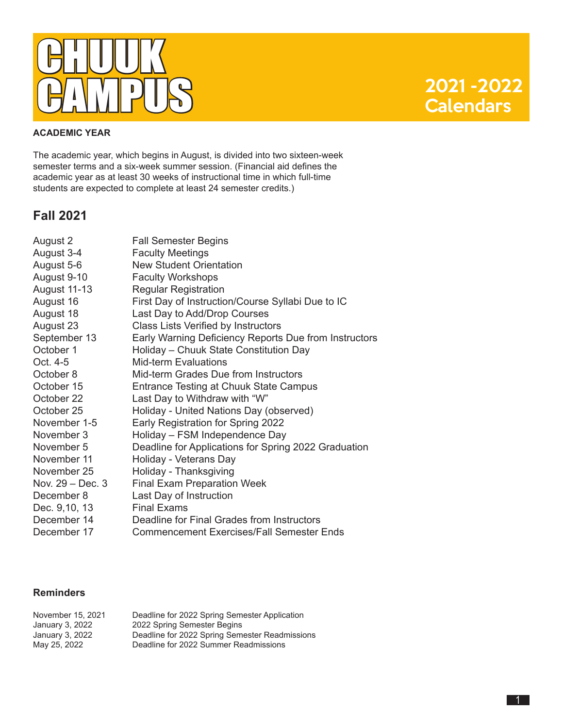

#### **ACADEMIC YEAR**

The academic year, which begins in August, is divided into two sixteen-week semester terms and a six-week summer session. (Financial aid defines the academic year as at least 30 weeks of instructional time in which full-time students are expected to complete at least 24 semester credits.)

#### **Fall 2021**

| August 2            | <b>Fall Semester Begins</b>                           |
|---------------------|-------------------------------------------------------|
| August 3-4          | <b>Faculty Meetings</b>                               |
| August 5-6          | <b>New Student Orientation</b>                        |
| August 9-10         | <b>Faculty Workshops</b>                              |
| <b>August 11-13</b> | <b>Regular Registration</b>                           |
| August 16           | First Day of Instruction/Course Syllabi Due to IC     |
| August 18           | Last Day to Add/Drop Courses                          |
| August 23           | <b>Class Lists Verified by Instructors</b>            |
| September 13        | Early Warning Deficiency Reports Due from Instructors |
| October 1           | Holiday - Chuuk State Constitution Day                |
| Oct. 4-5            | Mid-term Evaluations                                  |
| October 8           | Mid-term Grades Due from Instructors                  |
| October 15          | Entrance Testing at Chuuk State Campus                |
| October 22          | Last Day to Withdraw with "W"                         |
| October 25          | Holiday - United Nations Day (observed)               |
| November 1-5        | Early Registration for Spring 2022                    |
| November 3          | Holiday - FSM Independence Day                        |
| November 5          | Deadline for Applications for Spring 2022 Graduation  |
| November 11         | Holiday - Veterans Day                                |
| November 25         | Holiday - Thanksgiving                                |
| Nov. $29 - Dec. 3$  | <b>Final Exam Preparation Week</b>                    |
| December 8          | Last Day of Instruction                               |
| Dec. 9,10, 13       | <b>Final Exams</b>                                    |
| December 14         | Deadline for Final Grades from Instructors            |
| December 17         | <b>Commencement Exercises/Fall Semester Ends</b>      |

| November 15, 2021 | Deadline for 2022 Spring Semester Application  |
|-------------------|------------------------------------------------|
| January 3, 2022   | 2022 Spring Semester Begins                    |
| January 3, 2022   | Deadline for 2022 Spring Semester Readmissions |
| May 25, 2022      | Deadline for 2022 Summer Readmissions          |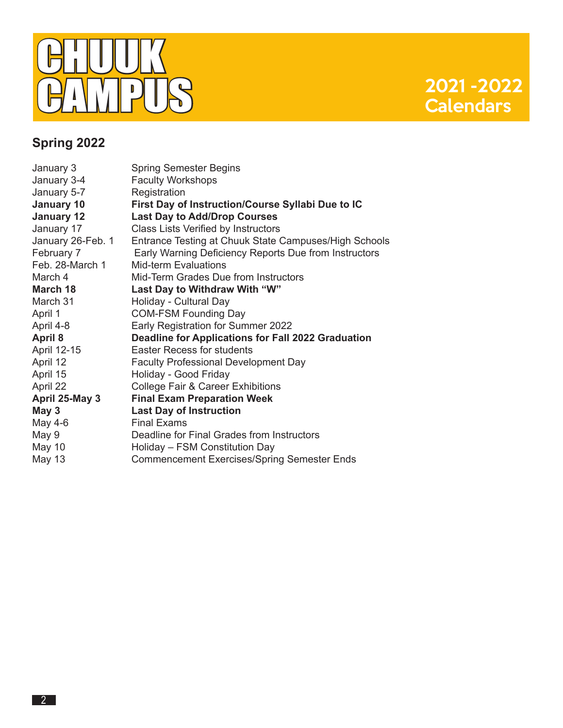

# **2021 - 2022**<br>Calendars

| January 3         | <b>Spring Semester Begins</b>                             |
|-------------------|-----------------------------------------------------------|
| January 3-4       | <b>Faculty Workshops</b>                                  |
| January 5-7       | Registration                                              |
| <b>January 10</b> | First Day of Instruction/Course Syllabi Due to IC         |
| January 12        | <b>Last Day to Add/Drop Courses</b>                       |
| January 17        | Class Lists Verified by Instructors                       |
| January 26-Feb. 1 | Entrance Testing at Chuuk State Campuses/High Schools     |
| February 7        | Early Warning Deficiency Reports Due from Instructors     |
| Feb. 28-March 1   | <b>Mid-term Evaluations</b>                               |
| March 4           | Mid-Term Grades Due from Instructors                      |
| March 18          | Last Day to Withdraw With "W"                             |
| March 31          | Holiday - Cultural Day                                    |
| April 1           | <b>COM-FSM Founding Day</b>                               |
| April 4-8         | Early Registration for Summer 2022                        |
| <b>April 8</b>    | <b>Deadline for Applications for Fall 2022 Graduation</b> |
| April 12-15       | <b>Easter Recess for students</b>                         |
| April 12          | <b>Faculty Professional Development Day</b>               |
| April 15          | Holiday - Good Friday                                     |
| April 22          | <b>College Fair &amp; Career Exhibitions</b>              |
| April 25-May 3    | <b>Final Exam Preparation Week</b>                        |
| May 3             | <b>Last Day of Instruction</b>                            |
| May 4-6           | <b>Final Exams</b>                                        |
| May 9             | Deadline for Final Grades from Instructors                |
| <b>May 10</b>     | Holiday - FSM Constitution Day                            |
| <b>May 13</b>     | <b>Commencement Exercises/Spring Semester Ends</b>        |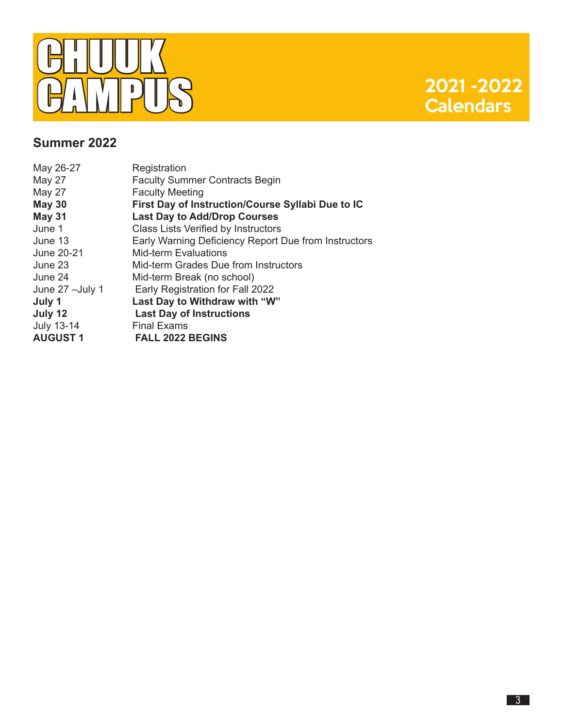

### **2021 - 2022**<br>Calendars

| May 26-27         | Registration                                         |
|-------------------|------------------------------------------------------|
| <b>May 27</b>     | <b>Faculty Summer Contracts Begin</b>                |
| <b>May 27</b>     | <b>Faculty Meeting</b>                               |
| <b>May 30</b>     | First Day of Instruction/Course Syllabi Due to IC    |
| <b>May 31</b>     | <b>Last Day to Add/Drop Courses</b>                  |
| June 1            | Class Lists Verified by Instructors                  |
| June 13           | Early Warning Deficiency Report Due from Instructors |
| June 20-21        | <b>Mid-term Evaluations</b>                          |
| June 23           | Mid-term Grades Due from Instructors                 |
| June 24           | Mid-term Break (no school)                           |
| June 27 - July 1  | Early Registration for Fall 2022                     |
| July 1            | Last Day to Withdraw with "W"                        |
| July 12           | <b>Last Day of Instructions</b>                      |
| <b>July 13-14</b> | <b>Final Exams</b>                                   |
| <b>AUGUST 1</b>   | <b>FALL 2022 BEGINS</b>                              |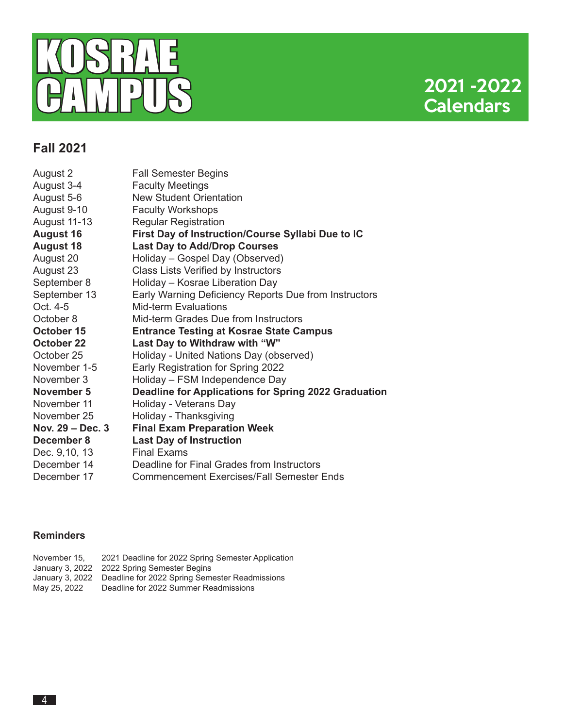

## 2021 - 2022<br>Calendars

#### **Fall 2021**

| August 2            | <b>Fall Semester Begins</b>                           |
|---------------------|-------------------------------------------------------|
| August 3-4          | <b>Faculty Meetings</b>                               |
| August 5-6          | <b>New Student Orientation</b>                        |
| August 9-10         | <b>Faculty Workshops</b>                              |
| <b>August 11-13</b> | <b>Regular Registration</b>                           |
| <b>August 16</b>    | First Day of Instruction/Course Syllabi Due to IC     |
| <b>August 18</b>    | <b>Last Day to Add/Drop Courses</b>                   |
| August 20           | Holiday - Gospel Day (Observed)                       |
| August 23           | Class Lists Verified by Instructors                   |
| September 8         | Holiday - Kosrae Liberation Day                       |
| September 13        | Early Warning Deficiency Reports Due from Instructors |
| Oct. 4-5            | <b>Mid-term Evaluations</b>                           |
| October 8           | Mid-term Grades Due from Instructors                  |
| October 15          | <b>Entrance Testing at Kosrae State Campus</b>        |
| <b>October 22</b>   | Last Day to Withdraw with "W"                         |
| October 25          | Holiday - United Nations Day (observed)               |
| November 1-5        | Early Registration for Spring 2022                    |
| November 3          | Holiday - FSM Independence Day                        |
| November 5          | Deadline for Applications for Spring 2022 Graduation  |
| November 11         | Holiday - Veterans Day                                |
| November 25         | Holiday - Thanksgiving                                |
| Nov. $29 - Dec. 3$  | <b>Final Exam Preparation Week</b>                    |
| December 8          | <b>Last Day of Instruction</b>                        |
| Dec. 9,10, 13       | <b>Final Exams</b>                                    |
| December 14         | Deadline for Final Grades from Instructors            |
| December 17         | <b>Commencement Exercises/Fall Semester Ends</b>      |

| November 15. | 2021 Deadline for 2022 Spring Semester Application             |
|--------------|----------------------------------------------------------------|
|              | January 3, 2022 2022 Spring Semester Begins                    |
|              | January 3, 2022 Deadline for 2022 Spring Semester Readmissions |
| May 25, 2022 | Deadline for 2022 Summer Readmissions                          |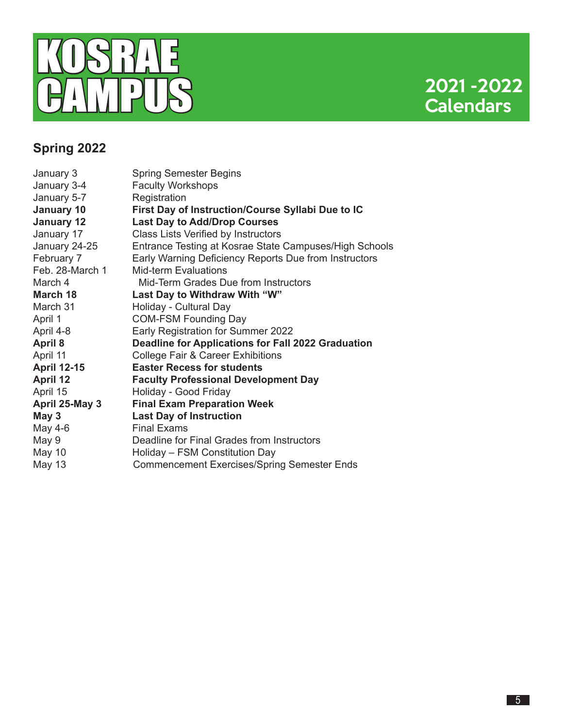

| January 3          | <b>Spring Semester Begins</b>                          |
|--------------------|--------------------------------------------------------|
| January 3-4        | <b>Faculty Workshops</b>                               |
| January 5-7        | Registration                                           |
| <b>January 10</b>  | First Day of Instruction/Course Syllabi Due to IC      |
| January 12         | <b>Last Day to Add/Drop Courses</b>                    |
| January 17         | Class Lists Verified by Instructors                    |
| January 24-25      | Entrance Testing at Kosrae State Campuses/High Schools |
| February 7         | Early Warning Deficiency Reports Due from Instructors  |
| Feb. 28-March 1    | <b>Mid-term Evaluations</b>                            |
| March 4            | Mid-Term Grades Due from Instructors                   |
| March 18           | Last Day to Withdraw With "W"                          |
| March 31           | Holiday - Cultural Day                                 |
| April 1            | <b>COM-FSM Founding Day</b>                            |
| April 4-8          | Early Registration for Summer 2022                     |
| <b>April 8</b>     | Deadline for Applications for Fall 2022 Graduation     |
| April 11           | <b>College Fair &amp; Career Exhibitions</b>           |
| <b>April 12-15</b> | <b>Easter Recess for students</b>                      |
| <b>April 12</b>    | <b>Faculty Professional Development Day</b>            |
| April 15           | Holiday - Good Friday                                  |
| April 25-May 3     | <b>Final Exam Preparation Week</b>                     |
| May 3              | <b>Last Day of Instruction</b>                         |
| May 4-6            | <b>Final Exams</b>                                     |
| May 9              | Deadline for Final Grades from Instructors             |
| <b>May 10</b>      | Holiday - FSM Constitution Day                         |
| May 13             | <b>Commencement Exercises/Spring Semester Ends</b>     |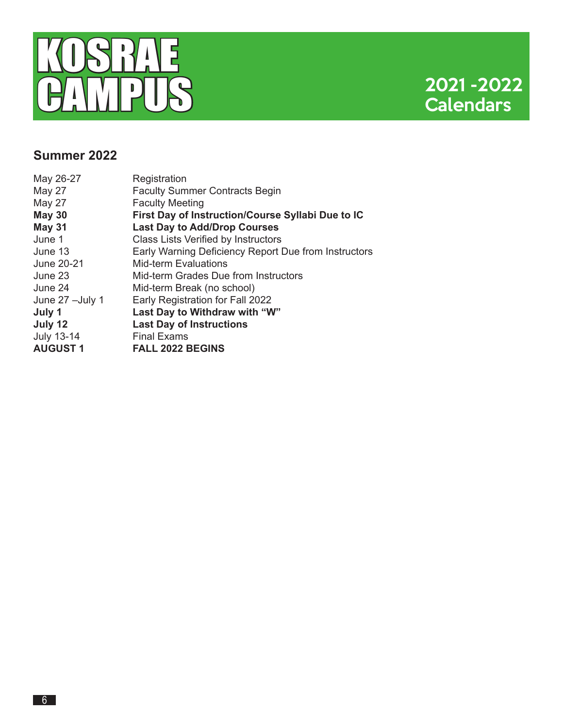

| May 26-27          | Registration                                         |
|--------------------|------------------------------------------------------|
| <b>May 27</b>      | <b>Faculty Summer Contracts Begin</b>                |
| May 27             | <b>Faculty Meeting</b>                               |
| <b>May 30</b>      | First Day of Instruction/Course Syllabi Due to IC    |
| <b>May 31</b>      | <b>Last Day to Add/Drop Courses</b>                  |
| June 1             | Class Lists Verified by Instructors                  |
| June 13            | Early Warning Deficiency Report Due from Instructors |
| June 20-21         | <b>Mid-term Evaluations</b>                          |
| June 23            | Mid-term Grades Due from Instructors                 |
| June 24            | Mid-term Break (no school)                           |
| June $27 -$ July 1 | Early Registration for Fall 2022                     |
| July 1             | Last Day to Withdraw with "W"                        |
| July 12            | <b>Last Day of Instructions</b>                      |
| <b>July 13-14</b>  | <b>Final Exams</b>                                   |
| <b>AUGUST 1</b>    | <b>FALL 2022 BEGINS</b>                              |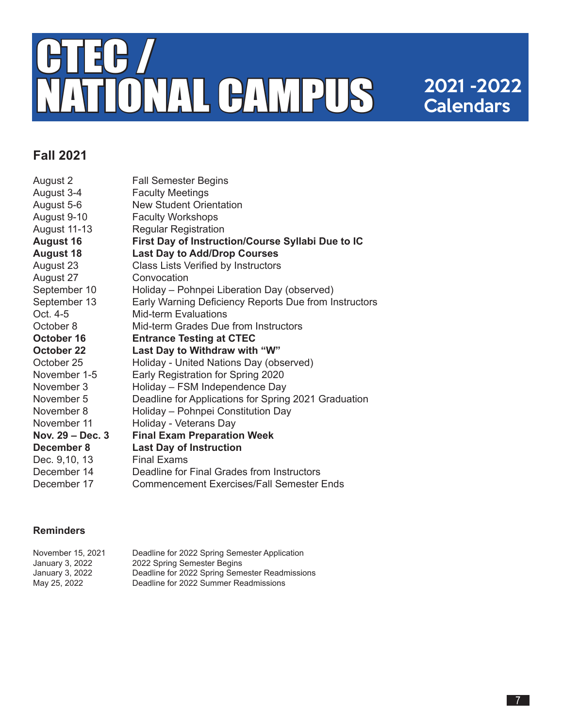

#### **Fall 2021**

| August 2            | <b>Fall Semester Begins</b>                           |
|---------------------|-------------------------------------------------------|
| August 3-4          | <b>Faculty Meetings</b>                               |
| August 5-6          | <b>New Student Orientation</b>                        |
| August 9-10         | <b>Faculty Workshops</b>                              |
| <b>August 11-13</b> | <b>Regular Registration</b>                           |
| <b>August 16</b>    | First Day of Instruction/Course Syllabi Due to IC     |
| <b>August 18</b>    | <b>Last Day to Add/Drop Courses</b>                   |
| August 23           | Class Lists Verified by Instructors                   |
| August 27           | Convocation                                           |
| September 10        | Holiday - Pohnpei Liberation Day (observed)           |
| September 13        | Early Warning Deficiency Reports Due from Instructors |
| Oct. 4-5            | <b>Mid-term Evaluations</b>                           |
| October 8           | Mid-term Grades Due from Instructors                  |
| October 16          | <b>Entrance Testing at CTEC</b>                       |
| <b>October 22</b>   | Last Day to Withdraw with "W"                         |
| October 25          | Holiday - United Nations Day (observed)               |
| November 1-5        | Early Registration for Spring 2020                    |
| November 3          | Holiday - FSM Independence Day                        |
| November 5          | Deadline for Applications for Spring 2021 Graduation  |
| November 8          | Holiday - Pohnpei Constitution Day                    |
| November 11         | Holiday - Veterans Day                                |
| Nov. 29 - Dec. 3    | <b>Final Exam Preparation Week</b>                    |
| December 8          | <b>Last Day of Instruction</b>                        |
| Dec. 9,10, 13       | <b>Final Exams</b>                                    |
| December 14         | Deadline for Final Grades from Instructors            |
| December 17         | <b>Commencement Exercises/Fall Semester Ends</b>      |

| November 15, 2021 | Deadline for 2022 Spring Semester Application  |
|-------------------|------------------------------------------------|
| January 3, 2022   | 2022 Spring Semester Begins                    |
| January 3, 2022   | Deadline for 2022 Spring Semester Readmissions |
| May 25, 2022      | Deadline for 2022 Summer Readmissions          |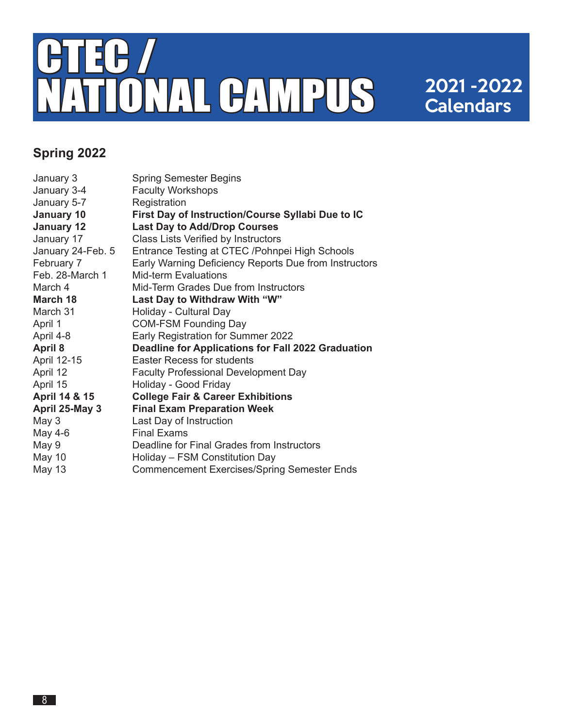

| January 3<br>January 3-4<br>January 5-7 | <b>Spring Semester Begins</b><br><b>Faculty Workshops</b><br>Registration |
|-----------------------------------------|---------------------------------------------------------------------------|
| January 10                              | First Day of Instruction/Course Syllabi Due to IC                         |
| <b>January 12</b>                       | <b>Last Day to Add/Drop Courses</b>                                       |
| January 17                              | Class Lists Verified by Instructors                                       |
| January 24-Feb. 5                       | Entrance Testing at CTEC /Pohnpei High Schools                            |
| February 7                              | Early Warning Deficiency Reports Due from Instructors                     |
| Feb. 28-March 1                         | <b>Mid-term Evaluations</b>                                               |
| March 4                                 | Mid-Term Grades Due from Instructors                                      |
| March 18                                | Last Day to Withdraw With "W"                                             |
| March 31                                | Holiday - Cultural Day                                                    |
| April 1                                 | <b>COM-FSM Founding Day</b>                                               |
| April 4-8                               | Early Registration for Summer 2022                                        |
| <b>April 8</b>                          | Deadline for Applications for Fall 2022 Graduation                        |
| April 12-15                             | <b>Easter Recess for students</b>                                         |
| April 12                                | <b>Faculty Professional Development Day</b>                               |
| April 15                                | Holiday - Good Friday                                                     |
| April 14 & 15                           | <b>College Fair &amp; Career Exhibitions</b>                              |
| April 25-May 3                          | <b>Final Exam Preparation Week</b>                                        |
| May 3                                   | Last Day of Instruction                                                   |
| May 4-6                                 | <b>Final Exams</b>                                                        |
| May 9                                   | Deadline for Final Grades from Instructors                                |
| May 10                                  | Holiday - FSM Constitution Day                                            |
| <b>May 13</b>                           | <b>Commencement Exercises/Spring Semester Ends</b>                        |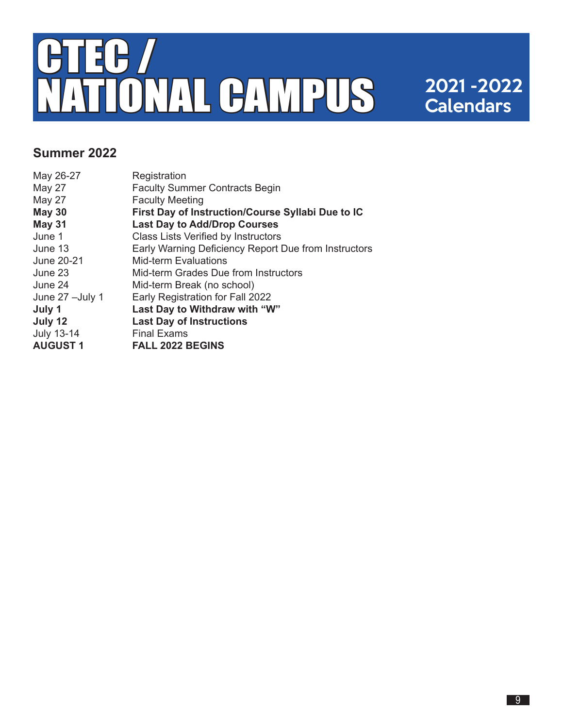

| May 26-27         | Registration                                         |
|-------------------|------------------------------------------------------|
| <b>May 27</b>     | <b>Faculty Summer Contracts Begin</b>                |
| May 27            | <b>Faculty Meeting</b>                               |
| <b>May 30</b>     | First Day of Instruction/Course Syllabi Due to IC    |
| <b>May 31</b>     | <b>Last Day to Add/Drop Courses</b>                  |
| June 1            | Class Lists Verified by Instructors                  |
| June 13           | Early Warning Deficiency Report Due from Instructors |
| June 20-21        | <b>Mid-term Evaluations</b>                          |
| June 23           | Mid-term Grades Due from Instructors                 |
| June 24           | Mid-term Break (no school)                           |
| June 27 - July 1  | Early Registration for Fall 2022                     |
| July 1            | Last Day to Withdraw with "W"                        |
| July 12           | <b>Last Day of Instructions</b>                      |
| <b>July 13-14</b> | <b>Final Exams</b>                                   |
| <b>AUGUST 1</b>   | <b>FALL 2022 BEGINS</b>                              |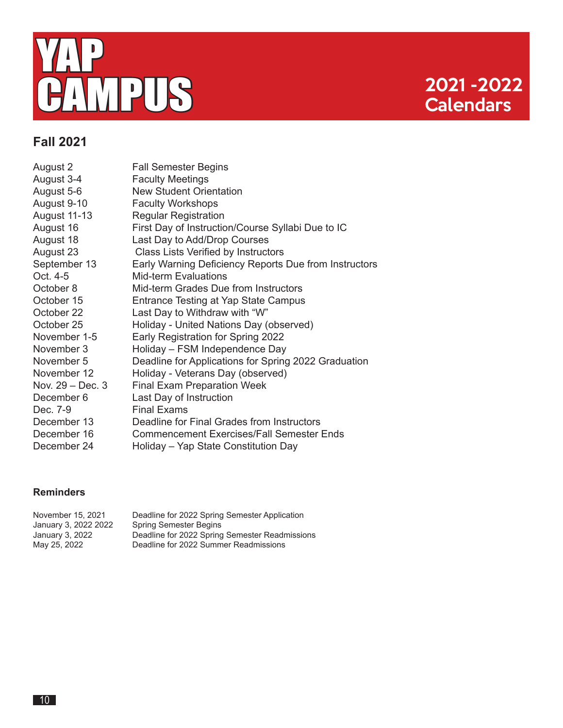

#### **Fall 2021**

| August 2            | <b>Fall Semester Begins</b>                           |
|---------------------|-------------------------------------------------------|
| August 3-4          | <b>Faculty Meetings</b>                               |
| August 5-6          | <b>New Student Orientation</b>                        |
| August 9-10         | <b>Faculty Workshops</b>                              |
| <b>August 11-13</b> | <b>Regular Registration</b>                           |
| August 16           | First Day of Instruction/Course Syllabi Due to IC     |
| August 18           | Last Day to Add/Drop Courses                          |
| August 23           | Class Lists Verified by Instructors                   |
| September 13        | Early Warning Deficiency Reports Due from Instructors |
| Oct. 4-5            | <b>Mid-term Evaluations</b>                           |
| October 8           | Mid-term Grades Due from Instructors                  |
| October 15          | Entrance Testing at Yap State Campus                  |
| October 22          | Last Day to Withdraw with "W"                         |
| October 25          | Holiday - United Nations Day (observed)               |
| November 1-5        | Early Registration for Spring 2022                    |
| November 3          | Holiday - FSM Independence Day                        |
| November 5          | Deadline for Applications for Spring 2022 Graduation  |
| November 12         | Holiday - Veterans Day (observed)                     |
| Nov. $29 - Dec. 3$  | <b>Final Exam Preparation Week</b>                    |
| December 6          | Last Day of Instruction                               |
| Dec. 7-9            | <b>Final Exams</b>                                    |
| December 13         | Deadline for Final Grades from Instructors            |
| December 16         | <b>Commencement Exercises/Fall Semester Ends</b>      |
| December 24         | Holiday - Yap State Constitution Day                  |

| November 15, 2021    | Deadline for 2022 Spring Semester Application  |
|----------------------|------------------------------------------------|
| January 3, 2022 2022 | <b>Spring Semester Begins</b>                  |
| January 3, 2022      | Deadline for 2022 Spring Semester Readmissions |
| May 25, 2022         | Deadline for 2022 Summer Readmissions          |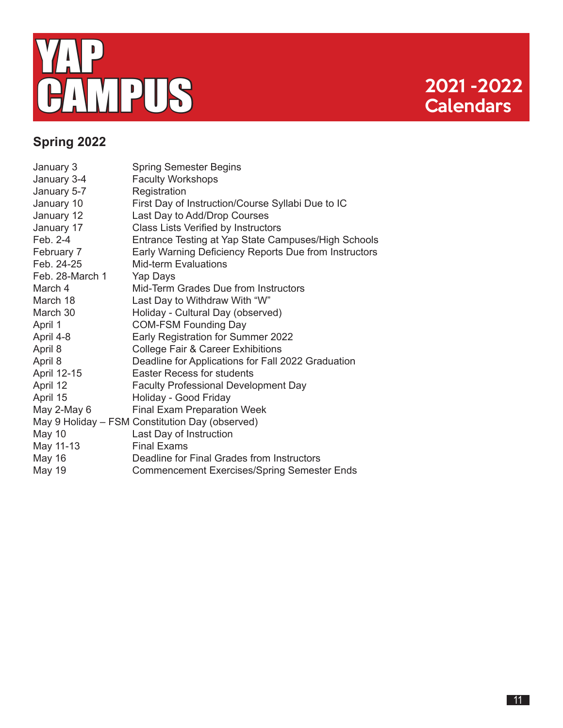

| January 3       | <b>Spring Semester Begins</b>                         |
|-----------------|-------------------------------------------------------|
| January 3-4     | <b>Faculty Workshops</b>                              |
| January 5-7     | Registration                                          |
| January 10      | First Day of Instruction/Course Syllabi Due to IC     |
| January 12      | Last Day to Add/Drop Courses                          |
| January 17      | Class Lists Verified by Instructors                   |
| Feb. 2-4        | Entrance Testing at Yap State Campuses/High Schools   |
| February 7      | Early Warning Deficiency Reports Due from Instructors |
| Feb. 24-25      | <b>Mid-term Evaluations</b>                           |
| Feb. 28-March 1 | Yap Days                                              |
| March 4         | Mid-Term Grades Due from Instructors                  |
| March 18        | Last Day to Withdraw With "W"                         |
| March 30        | Holiday - Cultural Day (observed)                     |
| April 1         | <b>COM-FSM Founding Day</b>                           |
| April 4-8       | Early Registration for Summer 2022                    |
| April 8         | <b>College Fair &amp; Career Exhibitions</b>          |
| April 8         | Deadline for Applications for Fall 2022 Graduation    |
| April 12-15     | <b>Easter Recess for students</b>                     |
| April 12        | <b>Faculty Professional Development Day</b>           |
| April 15        | Holiday - Good Friday                                 |
| May 2-May 6     | <b>Final Exam Preparation Week</b>                    |
|                 | May 9 Holiday - FSM Constitution Day (observed)       |
| <b>May 10</b>   | Last Day of Instruction                               |
| May 11-13       | <b>Final Exams</b>                                    |
| May 16          | Deadline for Final Grades from Instructors            |
| <b>May 19</b>   | <b>Commencement Exercises/Spring Semester Ends</b>    |